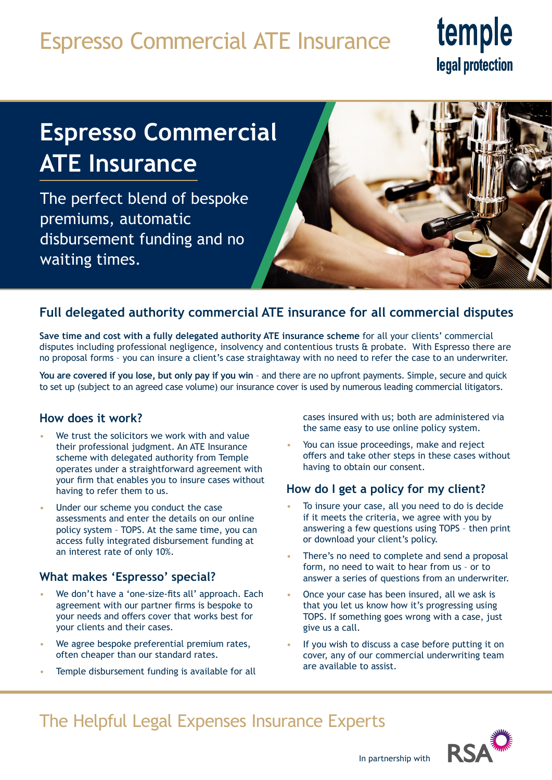## Espresso Commercial ATE Insurance

# temple legal protection

## **Espresso Commercial ATE Insurance**

The perfect blend of bespoke premiums, automatic disbursement funding and no waiting times.



## **Full delegated authority commercial ATE insurance for all commercial disputes**

**Save time and cost with a fully delegated authority ATE insurance scheme** for all your clients' commercial disputes including professional negligence, insolvency and contentious trusts & probate. With Espresso there are no proposal forms – you can insure a client's case straightaway with no need to refer the case to an underwriter.

**You are covered if you lose, but only pay if you win** – and there are no upfront payments. Simple, secure and quick to set up (subject to an agreed case volume) our insurance cover is used by numerous leading commercial litigators.

### **How does it work?**

- We trust the solicitors we work with and value their professional judgment. An ATE Insurance scheme with delegated authority from Temple operates under a straightforward agreement with your firm that enables you to insure cases without having to refer them to us.
- Under our scheme you conduct the case assessments and enter the details on our online policy system – TOPS. At the same time, you can access fully integrated disbursement funding at an interest rate of only 10%.

### **What makes 'Espresso' special?**

- We don't have a 'one-size-fits all' approach. Each agreement with our partner firms is bespoke to your needs and offers cover that works best for your clients and their cases.
- We agree bespoke preferential premium rates, often cheaper than our standard rates.
- Temple disbursement funding is available for all

cases insured with us; both are administered via the same easy to use online policy system.

• You can issue proceedings, make and reject offers and take other steps in these cases without having to obtain our consent.

### **How do I get a policy for my client?**

- To insure your case, all you need to do is decide if it meets the criteria, we agree with you by answering a few questions using TOPS – then print or download your client's policy.
- There's no need to complete and send a proposal form, no need to wait to hear from us – or to answer a series of questions from an underwriter.
- Once your case has been insured, all we ask is that you let us know how it's progressing using TOPS. If something goes wrong with a case, just give us a call.
- If you wish to discuss a case before putting it on cover, any of our commercial underwriting team are available to assist.

## The Helpful Legal Expenses Insurance Experts